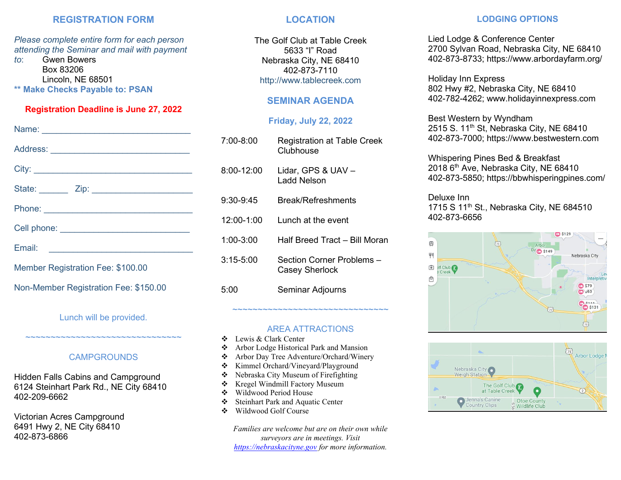### **REGISTRATION FORM**

*Please complete entire form for each person attending the Seminar and mail with payment* 

*to*: Gwen Bowers Box 83206 Lincoln, NE 68501 **Make Checks Payable to: PSAN** 

### **Registration Deadline is June 27, 2022**

| Member Registration Fee: \$100.00     |  |  |
|---------------------------------------|--|--|
| Non-Member Registration Fee: \$150.00 |  |  |

Lunch will be provided.

### **CAMPGROUNDS**

~~~~~~~~~~~~~~~~~~~~~~~~~~~~~~~~

Hidden Falls Cabins and Campground 6124 Steinhart Park Rd., NE City 68410 402-209-6662

Victorian Acres Campground 6491 Hwy 2, NE City 68410 402-873-6866

### **LOCATION**

The Golf Club at Table Creek 5633 "I" Road Nebraska City, NE 68410 402-873-7110 http://www.tablecreek.com

### **SEMINAR AGENDA**

## **Friday, July 22, 2022**

| 7:00-8:00     | <b>Registration at Table Creek</b><br>Clubhouse |
|---------------|-------------------------------------------------|
| 8:00-12:00    | Lidar, GPS & UAV -<br>Ladd Nelson               |
| 9:30-9:45     | <b>Break/Refreshments</b>                       |
| 12:00-1:00    | Lunch at the event                              |
| $1:00 - 3:00$ | Half Breed Tract - Bill Moran                   |
| $3:15 - 5:00$ | Section Corner Problems -<br>Casey Sherlock     |
| 5:00          | Seminar Adjourns                                |

### AREA ATTRACTIONS

~~~~~~~~~~~~~~~~~~~~~~~~~~~~~~~

- ❖ Lewis & Clark Center
- ❖ Arbor Lodge Historical Park and Mansion
- ❖ Arbor Day Tree Adventure/Orchard/Winery
- ❖ Kimmel Orchard/Vineyard/Playground
- ❖ Nebraska City Museum of Firefighting
- ❖ Kregel Windmill Factory Museum
- ❖ Wildwood Period House
- ❖ Steinhart Park and Aquatic Center
- ❖ Wildwood Golf Course

*Families are welcome but are on their own while surveyors are in meetings. Visit [https://nebraskacityne.gov](https://nebraskacityne.gov/) for more information.*

### **LODGING OPTIONS**

Lied Lodge & Conference Center 2700 Sylvan Road, Nebraska City, NE 68410 402-873-8733; https://www.arbordayfarm.org/

Holiday Inn Express 802 Hwy #2, Nebraska City, NE 68410 402-782-4262; www.holidayinnexpress.com

Best Western by Wyndham 2515 S. 11<sup>th</sup> St, Nebraska City, NE 68410 402-873-7000; https://www.bestwestern.com

Whispering Pines Bed & Breakfast 2018 6<sup>th</sup> Ave, Nebraska City, NE 68410 402-873-5850; https://bbwhisperingpines.com/

# Deluxe Inn

1715 S 11<sup>th</sup> St., Nebraska City, NE 684510 402-873-6656